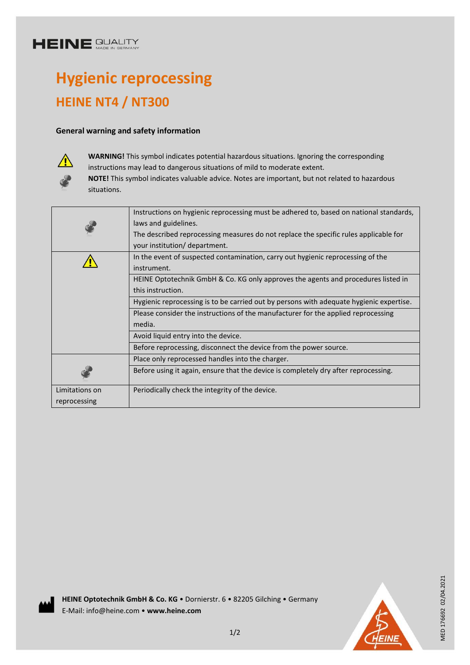## **HEINE SUALITY**

# **Hygienic reprocessing HEINE NT4 / NT300**

### **General warning and safety information**



**WARNING!** This symbol indicates potential hazardous situations. Ignoring the corresponding instructions may lead to dangerous situations of mild to moderate extent.

**NOTE!** This symbol indicates valuable advice. Notes are important, but not related to hazardous situations.

|                | Instructions on hygienic reprocessing must be adhered to, based on national standards,  |
|----------------|-----------------------------------------------------------------------------------------|
|                | laws and guidelines.                                                                    |
|                | The described reprocessing measures do not replace the specific rules applicable for    |
|                | your institution/ department.                                                           |
|                | In the event of suspected contamination, carry out hygienic reprocessing of the         |
|                | instrument.                                                                             |
|                | HEINE Optotechnik GmbH & Co. KG only approves the agents and procedures listed in       |
|                | this instruction.                                                                       |
|                | Hygienic reprocessing is to be carried out by persons with adequate hygienic expertise. |
|                | Please consider the instructions of the manufacturer for the applied reprocessing       |
|                | media.                                                                                  |
|                | Avoid liquid entry into the device.                                                     |
|                | Before reprocessing, disconnect the device from the power source.                       |
|                | Place only reprocessed handles into the charger.                                        |
|                | Before using it again, ensure that the device is completely dry after reprocessing.     |
| Limitations on | Periodically check the integrity of the device.                                         |
| reprocessing   |                                                                                         |